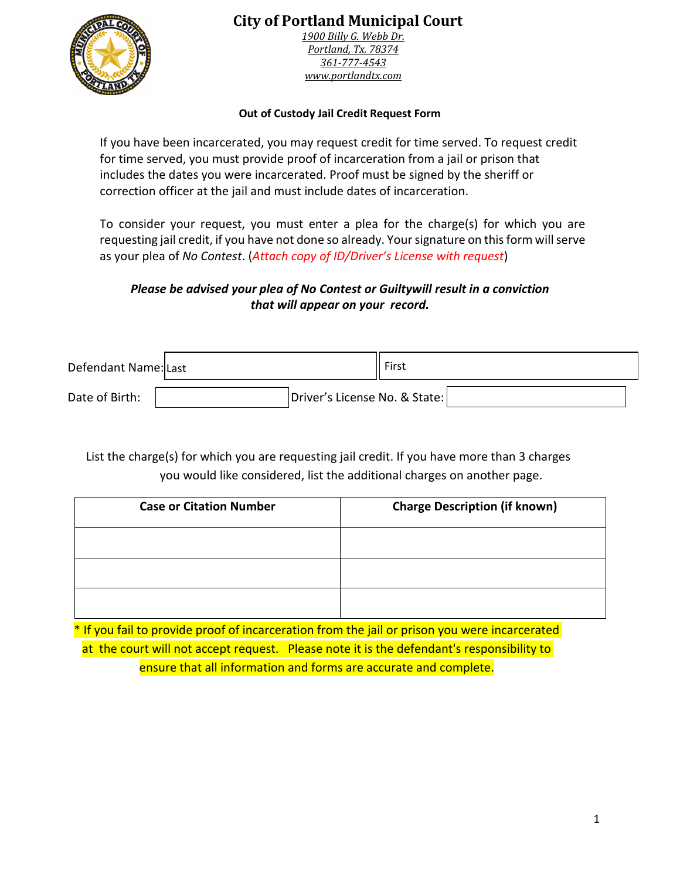

## **City of Portland Municipal Court**

*1900 Billy G. Webb Dr. Portland, Tx. 78374 361-777-4543 www.portlandtx.com*

## **Out of Custody Jail Credit Request Form**

If you have been incarcerated, you may request credit for time served. To request credit for time served, you must provide proof of incarceration from a jail or prison that includes the dates you were incarcerated. Proof must be signed by the sheriff or correction officer at the jail and must include dates of incarceration.

To consider your request, you must enter a plea for the charge(s) for which you are requesting jail credit, if you have not done so already. Your signature on this form will serve as your plea of *No Contest*. (*Attach copy of ID/Driver's License with request*)

## *Please be advised your plea of No Contest or Guiltywill result in a conviction that will appear on your record.*

| Defendant Name: Last |                               | First |  |
|----------------------|-------------------------------|-------|--|
| Date of Birth:       | Driver's License No. & State: |       |  |

List the charge(s) for which you are requesting jail credit. If you have more than 3 charges you would like considered, list the additional charges on another page.

| <b>Case or Citation Number</b> | <b>Charge Description (if known)</b> |
|--------------------------------|--------------------------------------|
|                                |                                      |
|                                |                                      |
|                                |                                      |

\* If you fail to provide proof of incarceration from the jail or prison you were incarcerated at the court will not accept request. Please note it is the defendant's responsibility to ensure that all information and forms are accurate and complete.